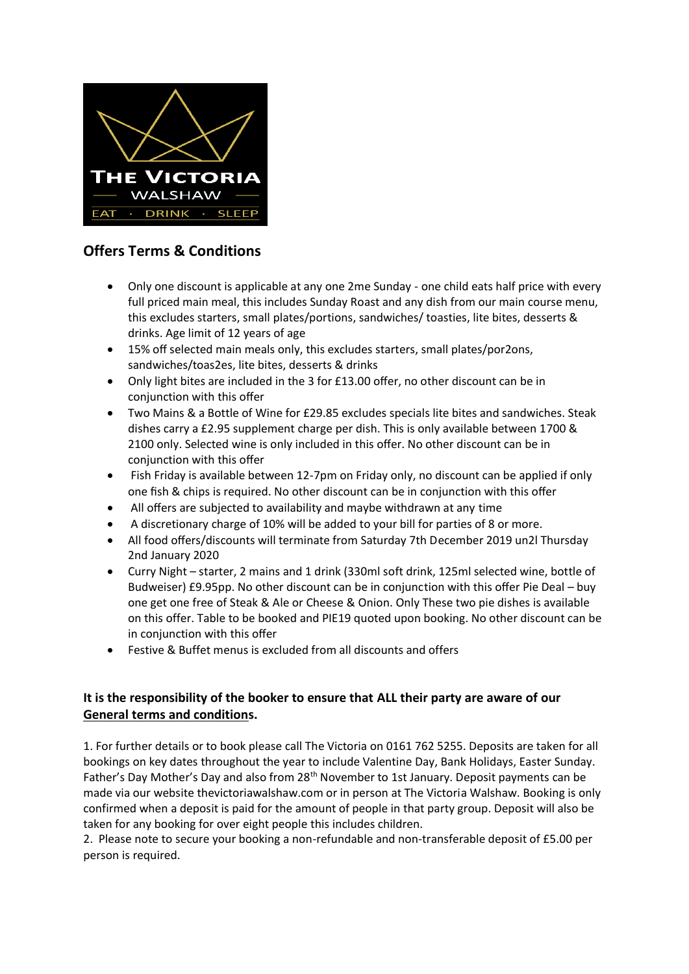

## **Offers Terms & Conditions**

- Only one discount is applicable at any one 2me Sunday one child eats half price with every full priced main meal, this includes Sunday Roast and any dish from our main course menu, this excludes starters, small plates/portions, sandwiches/ toasties, lite bites, desserts & drinks. Age limit of 12 years of age
- 15% off selected main meals only, this excludes starters, small plates/por2ons, sandwiches/toas2es, lite bites, desserts & drinks
- Only light bites are included in the 3 for £13.00 offer, no other discount can be in conjunction with this offer
- Two Mains & a Bottle of Wine for £29.85 excludes specials lite bites and sandwiches. Steak dishes carry a £2.95 supplement charge per dish. This is only available between 1700 & 2100 only. Selected wine is only included in this offer. No other discount can be in conjunction with this offer
- Fish Friday is available between 12-7pm on Friday only, no discount can be applied if only one fish & chips is required. No other discount can be in conjunction with this offer
- All offers are subjected to availability and maybe withdrawn at any time
- A discretionary charge of 10% will be added to your bill for parties of 8 or more.
- All food offers/discounts will terminate from Saturday 7th December 2019 un2l Thursday 2nd January 2020
- Curry Night starter, 2 mains and 1 drink (330ml soft drink, 125ml selected wine, bottle of Budweiser) £9.95pp. No other discount can be in conjunction with this offer Pie Deal – buy one get one free of Steak & Ale or Cheese & Onion. Only These two pie dishes is available on this offer. Table to be booked and PIE19 quoted upon booking. No other discount can be in conjunction with this offer
- Festive & Buffet menus is excluded from all discounts and offers

## **It is the responsibility of the booker to ensure that ALL their party are aware of our General terms and conditions.**

1. For further details or to book please call The Victoria on 0161 762 5255. Deposits are taken for all bookings on key dates throughout the year to include Valentine Day, Bank Holidays, Easter Sunday. Father's Day Mother's Day and also from 28<sup>th</sup> November to 1st January. Deposit payments can be made via our website thevictoriawalshaw.com or in person at The Victoria Walshaw. Booking is only confirmed when a deposit is paid for the amount of people in that party group. Deposit will also be taken for any booking for over eight people this includes children.

2. Please note to secure your booking a non-refundable and non-transferable deposit of £5.00 per person is required.